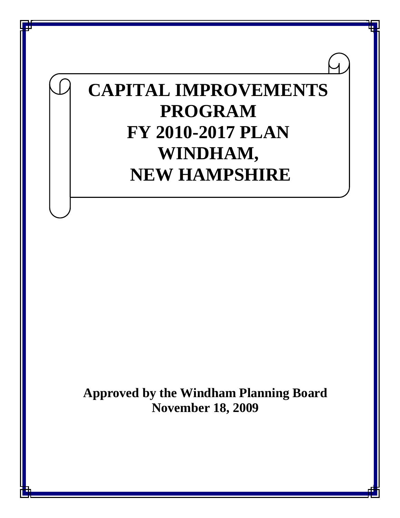# **CAPITAL IMPROVEMENTS PROGRAM FY 2010-2017 PLAN WINDHAM, NEW HAMPSHIRE**

**Approved by the Windham Planning Board November 18, 2009**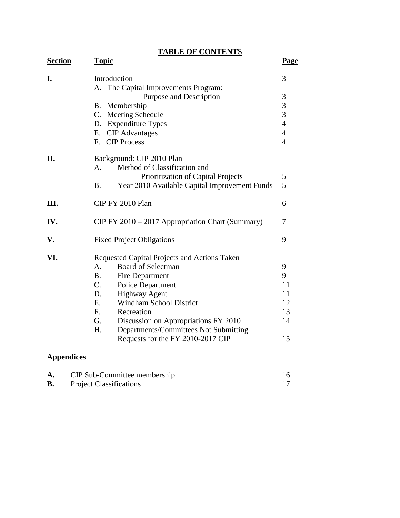**TABLE OF CONTENTS**

| <b>Section</b> | <b>Topic</b>                                               | <u>Page</u>    |
|----------------|------------------------------------------------------------|----------------|
| I.             | Introduction<br>A. The Capital Improvements Program:       | 3              |
|                | Purpose and Description                                    | 3              |
|                | Membership<br><b>B.</b>                                    | $\frac{3}{3}$  |
|                | $C_{\cdot}$<br>Meeting Schedule                            |                |
|                | D. Expenditure Types                                       | $\overline{4}$ |
|                | E. CIP Advantages                                          | $\overline{4}$ |
|                | <b>CIP Process</b><br>$F_{\cdot}$                          | $\overline{4}$ |
| II.            | Background: CIP 2010 Plan                                  |                |
|                | Method of Classification and<br>A.                         |                |
|                | Prioritization of Capital Projects                         | 5              |
|                | Year 2010 Available Capital Improvement Funds<br><b>B.</b> | 5              |
| III.           | CIP FY 2010 Plan                                           | 6              |
| IV.            | CIP FY 2010 – 2017 Appropriation Chart (Summary)           | 7              |
| V.             | <b>Fixed Project Obligations</b>                           | 9              |
| VI.            | Requested Capital Projects and Actions Taken               |                |
|                | <b>Board of Selectman</b><br>A.                            | 9              |
|                | <b>B.</b><br>Fire Department                               | 9              |
|                | $C_{\cdot}$<br><b>Police Department</b>                    | 11             |
|                | <b>Highway Agent</b><br>D.                                 | 11             |
|                | <b>Windham School District</b><br>Е.                       | 12             |
|                | F.<br>Recreation                                           | 13             |
|                | G.<br>Discussion on Appropriations FY 2010                 | 14             |
|                | H.<br>Departments/Committees Not Submitting                |                |
|                | Requests for the FY 2010-2017 CIP                          | 15             |
|                |                                                            |                |

### **Appendices**

| CIP Sub-Committee membership   |  |
|--------------------------------|--|
| <b>Project Classifications</b> |  |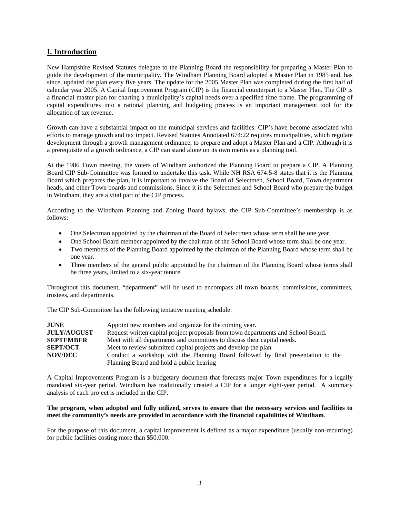#### **I. Introduction**

New Hampshire Revised Statutes delegate to the Planning Board the responsibility for preparing a Master Plan to guide the development of the municipality. The Windham Planning Board adopted a Master Plan in 1985 and, has since, updated the plan every five years. The update for the 2005 Master Plan was completed during the first half of calendar year 2005. A Capital Improvement Program (CIP) is the financial counterpart to a Master Plan. The CIP is a financial master plan for charting a municipality's capital needs over a specified time frame. The programming of capital expenditures into a rational planning and budgeting process is an important management tool for the allocation of tax revenue.

Growth can have a substantial impact on the municipal services and facilities. CIP's have become associated with efforts to manage growth and tax impact. Revised Statutes Annotated 674:22 requires municipalities, which regulate development through a growth management ordinance, to prepare and adopt a Master Plan and a CIP. Although it is a prerequisite of a growth ordinance, a CIP can stand alone on its own merits as a planning tool.

At the 1986 Town meeting, the voters of Windham authorized the Planning Board to prepare a CIP. A Planning Board CIP Sub-Committee was formed to undertake this task. While NH RSA 674:5-8 states that it is the Planning Board which prepares the plan, it is important to involve the Board of Selectmen, School Board, Town department heads, and other Town boards and commissions. Since it is the Selectmen and School Board who prepare the budget in Windham, they are a vital part of the CIP process.

According to the Windham Planning and Zoning Board bylaws, the CIP Sub-Committee's membership is as follows:

- One Selectman appointed by the chairman of the Board of Selectmen whose term shall be one year.
- One School Board member appointed by the chairman of the School Board whose term shall be one year.
- Two members of the Planning Board appointed by the chairman of the Planning Board whose term shall be one year.
- Three members of the general public appointed by the chairman of the Planning Board whose terms shall be three years, limited to a six-year tenure.

Throughout this document, "department" will be used to encompass all town boards, commissions, committees, trustees, and departments.

The CIP Sub-Committee has the following tentative meeting schedule:

| <b>JUNE</b>        | Appoint new members and organize for the coming year.                             |
|--------------------|-----------------------------------------------------------------------------------|
| <b>JULY/AUGUST</b> | Request written capital project proposals from town departments and School Board. |
| <b>SEPTEMBER</b>   | Meet with all departments and committees to discuss their capital needs.          |
| <b>SEPT/OCT</b>    | Meet to review submitted capital projects and develop the plan.                   |
| <b>NOV/DEC</b>     | Conduct a workshop with the Planning Board followed by final presentation to the  |
|                    | Planning Board and hold a public hearing                                          |

A Capital Improvements Program is a budgetary document that forecasts major Town expenditures for a legally mandated six-year period. Windham has traditionally created a CIP for a longer eight-year period. A summary analysis of each project is included in the CIP.

#### **The program, when adopted and fully utilized, serves to ensure that the necessary services and facilities to meet the community's needs are provided in accordance with the financial capabilities of Windham**.

For the purpose of this document, a capital improvement is defined as a major expenditure (usually non-recurring) for public facilities costing more than \$50,000.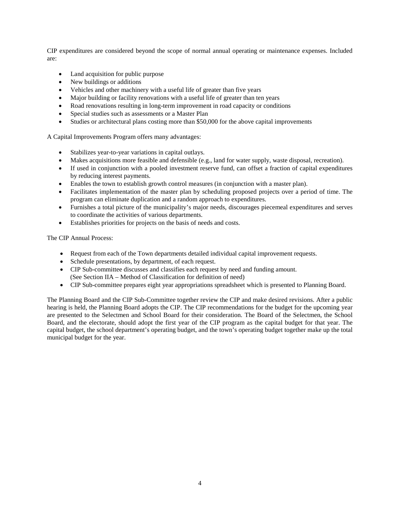CIP expenditures are considered beyond the scope of normal annual operating or maintenance expenses. Included are:

- Land acquisition for public purpose
- New buildings or additions
- Vehicles and other machinery with a useful life of greater than five years
- Major building or facility renovations with a useful life of greater than ten years
- Road renovations resulting in long-term improvement in road capacity or conditions
- Special studies such as assessments or a Master Plan
- Studies or architectural plans costing more than \$50,000 for the above capital improvements

A Capital Improvements Program offers many advantages:

- Stabilizes year-to-year variations in capital outlays.
- Makes acquisitions more feasible and defensible (e.g., land for water supply, waste disposal, recreation).
- If used in conjunction with a pooled investment reserve fund, can offset a fraction of capital expenditures by reducing interest payments.
- Enables the town to establish growth control measures (in conjunction with a master plan).
- Facilitates implementation of the master plan by scheduling proposed projects over a period of time. The program can eliminate duplication and a random approach to expenditures.
- Furnishes a total picture of the municipality's major needs, discourages piecemeal expenditures and serves to coordinate the activities of various departments.
- Establishes priorities for projects on the basis of needs and costs.

The CIP Annual Process:

- Request from each of the Town departments detailed individual capital improvement requests.
- Schedule presentations, by department, of each request.
- CIP Sub-committee discusses and classifies each request by need and funding amount. (See Section IIA – Method of Classification for definition of need)
- CIP Sub-committee prepares eight year appropriations spreadsheet which is presented to Planning Board.

The Planning Board and the CIP Sub-Committee together review the CIP and make desired revisions. After a public hearing is held, the Planning Board adopts the CIP. The CIP recommendations for the budget for the upcoming year are presented to the Selectmen and School Board for their consideration. The Board of the Selectmen, the School Board, and the electorate, should adopt the first year of the CIP program as the capital budget for that year. The capital budget, the school department's operating budget, and the town's operating budget together make up the total municipal budget for the year.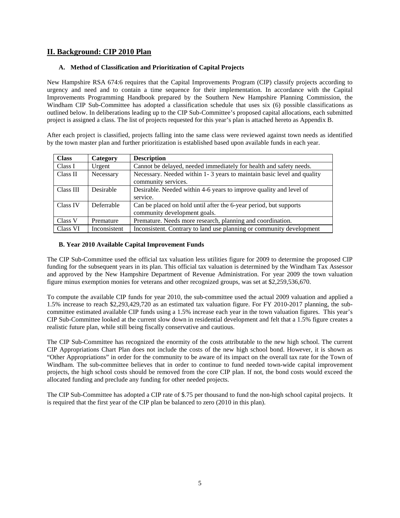#### **II. Background: CIP 2010 Plan**

#### **A. Method of Classification and Prioritization of Capital Projects**

New Hampshire RSA 674:6 requires that the Capital Improvements Program (CIP) classify projects according to urgency and need and to contain a time sequence for their implementation. In accordance with the Capital Improvements Programming Handbook prepared by the Southern New Hampshire Planning Commission, the Windham CIP Sub-Committee has adopted a classification schedule that uses six (6) possible classifications as outlined below. In deliberations leading up to the CIP Sub-Committee's proposed capital allocations, each submitted project is assigned a class. The list of projects requested for this year's plan is attached hereto as Appendix B.

After each project is classified, projects falling into the same class were reviewed against town needs as identified by the town master plan and further prioritization is established based upon available funds in each year.

| <b>Class</b> | Category     | <b>Description</b>                                                                                |
|--------------|--------------|---------------------------------------------------------------------------------------------------|
| Class I      | Urgent       | Cannot be delayed, needed immediately for health and safety needs.                                |
| Class II     | Necessary    | Necessary. Needed within 1-3 years to maintain basic level and quality<br>community services.     |
| Class III    | Desirable    | Desirable. Needed within 4-6 years to improve quality and level of<br>service.                    |
| Class IV     | Deferrable   | Can be placed on hold until after the 6-year period, but supports<br>community development goals. |
| Class V      | Premature    | Premature. Needs more research, planning and coordination.                                        |
| Class VI     | Inconsistent | Inconsistent. Contrary to land use planning or community development                              |

#### **B. Year 2010 Available Capital Improvement Funds**

The CIP Sub-Committee used the official tax valuation less utilities figure for 2009 to determine the proposed CIP funding for the subsequent years in its plan. This official tax valuation is determined by the Windham Tax Assessor and approved by the New Hampshire Department of Revenue Administration. For year 2009 the town valuation figure minus exemption monies for veterans and other recognized groups, was set at \$2,259,536,670.

To compute the available CIP funds for year 2010, the sub-committee used the actual 2009 valuation and applied a 1.5% increase to reach \$2,293,429,720 as an estimated tax valuation figure. For FY 2010-2017 planning, the subcommittee estimated available CIP funds using a 1.5% increase each year in the town valuation figures. This year's CIP Sub-Committee looked at the current slow down in residential development and felt that a 1.5% figure creates a realistic future plan, while still being fiscally conservative and cautious.

The CIP Sub-Committee has recognized the enormity of the costs attributable to the new high school. The current CIP Appropriations Chart Plan does not include the costs of the new high school bond. However, it is shown as "Other Appropriations" in order for the community to be aware of its impact on the overall tax rate for the Town of Windham. The sub-committee believes that in order to continue to fund needed town-wide capital improvement projects, the high school costs should be removed from the core CIP plan. If not, the bond costs would exceed the allocated funding and preclude any funding for other needed projects.

The CIP Sub-Committee has adopted a CIP rate of \$.75 per thousand to fund the non-high school capital projects. It is required that the first year of the CIP plan be balanced to zero (2010 in this plan).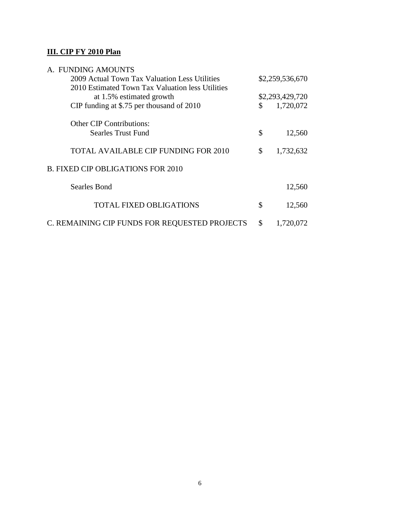### **III. CIP FY 2010 Plan**

| A. FUNDING AMOUNTS                               |                 |           |  |  |  |
|--------------------------------------------------|-----------------|-----------|--|--|--|
| 2009 Actual Town Tax Valuation Less Utilities    | \$2,259,536,670 |           |  |  |  |
| 2010 Estimated Town Tax Valuation less Utilities |                 |           |  |  |  |
| at 1.5% estimated growth                         | \$2,293,429,720 |           |  |  |  |
| CIP funding at \$.75 per thousand of 2010        | \$              | 1,720,072 |  |  |  |
| <b>Other CIP Contributions:</b>                  |                 |           |  |  |  |
| Searles Trust Fund                               | \$              | 12,560    |  |  |  |
| <b>TOTAL AVAILABLE CIP FUNDING FOR 2010</b>      | \$              | 1,732,632 |  |  |  |
| <b>B. FIXED CIP OBLIGATIONS FOR 2010</b>         |                 |           |  |  |  |
| Searles Bond                                     |                 | 12,560    |  |  |  |
| <b>TOTAL FIXED OBLIGATIONS</b>                   | \$              | 12,560    |  |  |  |
| C. REMAINING CIP FUNDS FOR REQUESTED PROJECTS    | \$              | 1,720,072 |  |  |  |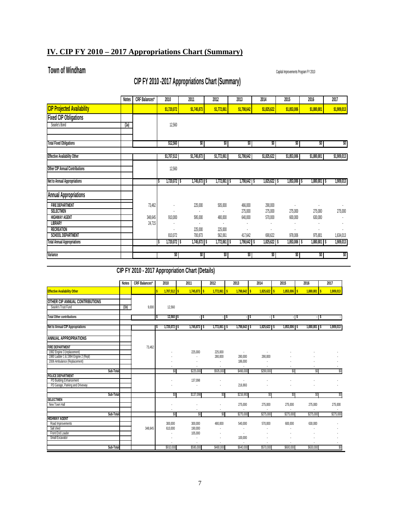### **IV. CIP FY 2010 – 2017 Appropriations Chart (Summary)**

### **Town of Windham** Capital Improvements Program FY 2010

### **CIP FY 2010 -2017 Appropriations Chart (Summary)**

|                                               | <b>Notes</b> | <b>CRF</b> Balances* | 2010           | 2011               | 2012               | 2013               | 2014               | 2015               | 2016           | 2017        |
|-----------------------------------------------|--------------|----------------------|----------------|--------------------|--------------------|--------------------|--------------------|--------------------|----------------|-------------|
| <b>CIP Projected Availability</b>             |              |                      | \$1,720,072    | \$1,745,873        | \$1,772,061        | \$1,798,642        | \$1,825,622        | \$1,853,006        | \$1,880,801    | \$1,909,013 |
| <b>Fixed CIP Obligations</b>                  |              |                      |                |                    |                    |                    |                    |                    |                |             |
| Searle's Bond                                 | (1a)         |                      | 12,560         |                    |                    |                    |                    |                    |                |             |
| <b>Total Fixed Obligations</b>                |              |                      | \$12,560       | ŞO.                | SO.                | SO.                | ŞO.                | ŞO.                | ŞO.            | ŞO.         |
| <b>Effective Availability Other</b>           |              |                      | \$1,707,512    | \$1,745,873        | \$1,772,061        | \$1,798,642        | \$1,825,622        | \$1,853,006        | \$1,880,801    | \$1,909,013 |
| <b>Other CIP Annual Contributions</b>         |              |                      | 12,560         |                    |                    |                    |                    |                    |                |             |
| Net to Annual Appropriations                  |              |                      | $1,720,072$ \$ | 1,745,873   \$     | $1,772,061$ \$     | 1,798,642 \$       | 1,825,622 \$       | 1,853,006 \$       | 1,880,801 \$   | 1,909,013   |
| <b>Annual Appropriations</b>                  |              |                      |                |                    |                    |                    |                    |                    |                |             |
| <b>FIRE DEPARTMENT</b><br>SELECTMEN           |              | 73,462               |                | 225,000            | 505,000            | 466,000<br>275,000 | 290,000<br>275,000 | $\cdot$<br>275,000 | 275,000        | 275,000     |
| <b>HIGHWAY AGENT</b><br><b>LIBRARY</b>        |              | 348,645<br>24,715    | 910,000        | 595,000            | 480,000<br>×       | 640,000<br>ä,      | 570,000            | 600,000            | 630,000        |             |
| <b>RECREATION</b><br><b>SCHOOL DEPARTMENT</b> |              |                      | 810,072        | 225,000<br>700,873 | 225,000<br>562,061 | 417,642            | 690,622            | 978,006            | 975,801        | 1,634,013   |
| <b>Total Annual Appropriations</b>            |              |                      | 1,720,072 S    | 1,745,873   \$     | $1,772,061$ \$     | 1,798,642 S        | 1,825,622 S        | 1,853,006 S        | 1,880,801   \$ | 1,909,013   |
| Variance                                      |              |                      | $$0^-$         | \$O                | SO.                | \$O                | \$O                | SO I               | ŞO.            | ŞO.         |

**CIP FY 2010 - 2017 Appropriation Chart (Details)**

|                                                                                                                               | <b>Notes</b> | <b>CRF</b> Balances* | 2010               | 2011                          | 2012                             | 2013                          | 2014           | 2015           | 2016                   | 2017      |
|-------------------------------------------------------------------------------------------------------------------------------|--------------|----------------------|--------------------|-------------------------------|----------------------------------|-------------------------------|----------------|----------------|------------------------|-----------|
| <b>Effective Availability Other</b>                                                                                           |              |                      | $1,707,512$ \$     | $1,745,873$ \$                | 1,772,061                        | $1,798,642$ \$<br>l s         | $1,825,622$ \$ | $1,853,006$ \$ | 1,880,801<br><b>IS</b> | 1,909,013 |
| OTHER CIP ANNUAL CONTRIBUTIONS<br>Searle's Trust Fund                                                                         | (1b)         | 9,000                | 12,560             |                               |                                  |                               |                |                |                        |           |
| <b>Total Other contributions</b>                                                                                              |              |                      | $12,560$ \$<br>TS  |                               | - s                              | - 15<br>$-1$ \$               | - 15           | $-15$          | - 15                   |           |
| Net to Annual CIP Appropriations                                                                                              |              |                      | $1,720,072$ \$     | $1,745,873$ \$                | $1,772,061$ \$                   | 1,798,642 \$                  | 1,825,622 \$   | 1,853,006 \$   | 1,880,801 \$           | 1,909,013 |
| ANNUAL APPROPRIATIONS                                                                                                         |              |                      |                    |                               |                                  |                               |                |                |                        |           |
| <b>FIRE DEPARTMENT</b><br>1992 Engine 3 (replacement)<br>1980 Ladder 1 & 1994 Engine 2 (Repl)<br>2006 Ambulance (Replacement) |              | 73,462               |                    | 225,000<br>×                  | 225,000<br>280,000<br>$\epsilon$ | $\cdot$<br>280,000<br>186,000 | ٠<br>290,000   |                |                        |           |
| Sub-Total                                                                                                                     |              |                      | SO                 | \$225,000                     | \$505,000                        | \$466,000                     | \$290,000      | \$0            | \$0                    | SO        |
| POLICE DEPARTMENT<br>PD Building Enhancement<br>PD Garage, Parking and Driveway                                               |              |                      |                    | 137,098                       | ٠                                | 216,993                       |                |                |                        |           |
| Sub-Total                                                                                                                     |              |                      | SO                 | \$137,098                     | \$0                              | \$216,993                     | \$O            | \$0            | \$0                    | SO.       |
| <b>SELECTMEN</b><br>New Town Hall                                                                                             |              |                      |                    |                               |                                  | 275,000                       | 275,000        | 275,000        | 275,000                | 275,000   |
| Sub-Total                                                                                                                     |              |                      | SO                 | SO                            | SO.                              | \$275,000                     | \$275,000      | \$275,000      | \$275,000              | \$275,000 |
| <b>HIGHWAY AGENT</b><br>Road Improvements<br>Salt shed<br>Front End Loader                                                    |              | 348.645              | 300,000<br>610,000 | 300,000<br>190,000<br>105,000 | 480,000                          | 540,000                       | 570,000        | 600,000        | 630,000                |           |
| Small Excavator                                                                                                               |              |                      | ł,                 |                               |                                  | 100,000                       |                |                |                        |           |
| Sub-Total                                                                                                                     |              |                      | \$910,000          | \$595,000                     | \$480,000                        | \$640,000                     | \$570,000      | \$600,000      | \$630,000              | SO        |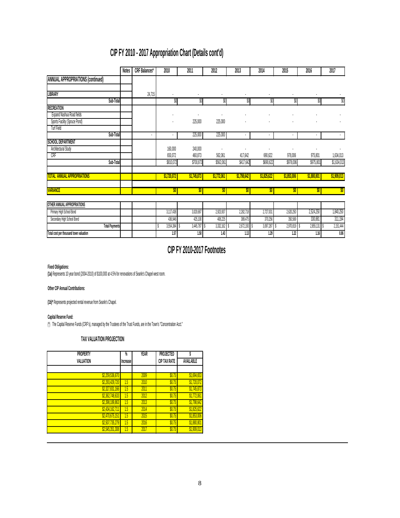## **CIP FY 2010 - 2017 Appropriation Chart (Details cont'd)**

|                                          | <b>Notes</b> | CRF Balances* | 2010           | 2011           | 2012             | 2013        | 2014        | 2015           | 2016        | 2017        |
|------------------------------------------|--------------|---------------|----------------|----------------|------------------|-------------|-------------|----------------|-------------|-------------|
| <b>ANNUAL APPROPRIATIONS (continued)</b> |              |               |                |                |                  |             |             |                |             |             |
|                                          |              |               |                |                |                  |             |             |                |             |             |
| LIBRARY                                  |              | 24,715        |                |                |                  |             |             |                |             |             |
| Sub-Total                                |              |               | \$0            | \$0            | \$0              | \$0         | \$0         | \$0            | \$0         | \$0         |
| <b>RECREATION</b>                        |              |               |                |                |                  |             |             |                |             |             |
| Expand Nashua Road fields                |              |               |                |                |                  |             |             |                |             |             |
| Sports Facility (Spruce Pond)            |              |               |                | 225,000        | 225,000          |             |             |                |             |             |
| <b>Turf Field</b>                        |              |               |                |                |                  |             |             |                |             |             |
| Sub-Total                                |              | ٠             |                | 225,000        | 225,000          |             | ٠           | $\blacksquare$ | ٠           | $\cdot$     |
| <b>SCHOOL DEPARTMENT</b>                 |              |               |                |                |                  |             |             |                |             |             |
| Architectural Study                      |              |               | 160,000        | 240,000        |                  |             |             |                |             |             |
| CRF                                      |              |               | 650,072        | 460,873        | 562,061          | 417,642     | 690,622     | 978,006        | 975,801     | 1,634,013   |
| Sub-Total                                |              |               | \$810,072      | \$700,873      | \$562,061        | \$417,642   | \$690,622   | \$978,006      | \$975,801   | \$1,634,013 |
| <b>TOTAL ANNUAL APPROPRIATIONS</b>       |              |               | \$1,720,072    | \$1,745,873    | \$1,772,061      | \$1,798,642 | \$1,825,622 | \$1,853,006    | \$1,880,801 | \$1,909,013 |
| <b>VARIANCE</b>                          |              |               | $ \mathbf{y} $ | \$0            | \$0 <sub>1</sub> | \$0         | \$0         | \$0.           | \$0         | \$0         |
| OTHER ANNUAL APPROPRIATIONS              |              |               |                |                |                  |             |             |                |             |             |
|                                          |              |               |                |                |                  |             |             |                |             |             |
| Primary High School Bond                 |              |               | 3,117,438      | 3,020,687      | 2,923,937        | 2,282,718   | 2,727,031   | 2,620,250      | 2,524,250   | 1,840,250   |
| Secondary High School Bond               |              |               | 436,946        | 425,100        | 408,225          | 389,475     | 370,256     | 350,569        | 330,881     | 311,194     |
| <b>Total Payments</b>                    |              |               | 3,554,384      | $3,445,787$ \$ | 3,332,162        | 2,672,193   | 3,097,287   | 2,970,819      | 2,855,131   | 2,151,444   |
| Total cost per thousand town valuation   |              |               | 1.57           | 1.50           | 1.43             | 1.13        | 1.29        | 1.22           | 1.16        | 0.86        |

### **CIP FY 2010-2017 Footnotes**

#### **Fixed Obligations:**

**(1a)** Represents 10 year bond (2004-2010) of \$100,000 at 4.5% for renovations of Searle's Chapel west room.

#### **Other CIP Annual Contributions:**

**(1b)\*** Represents projected rental revenue from Searle's Chapel.

#### **Capital Reserve Fund:**

(\*) The Capital Reserve Funds (CRF's), managed by the Trustees of the Trust Funds, are in the Town's "Concentration Acct."

#### **TAX VALUATION PROJECTION**

| <b>PROPERTY</b> | Ñ,       | <b>YEAR</b> | PROJECTED    |             |
|-----------------|----------|-------------|--------------|-------------|
| VALUATION       | Increase |             | CIP TAX RATE | AVAILABLE   |
|                 |          |             |              |             |
| \$2,259,536,670 |          | 2009        | \$0.75       | \$1,694,653 |
| \$2,293,429,720 | 1.5      | 2010        | \$0.75       | \$1,720,072 |
| \$2,327,831,166 | 1.5      | 2011        | \$0.75       | \$1,745,873 |
| \$2,362,748,633 | 15       | 2012        | \$0.75       | \$1,772,061 |
| \$2,398,189,863 | 15       | 2013        | \$0.75       | \$1,798,642 |
| \$2,434,162,711 | 1.5      | 2014        | \$0.75       | \$1,825,622 |
| \$2,470,675,151 | 1.5      | 2015        | \$0.75       | \$1,853,006 |
| \$2,507,735,279 | 1.5      | 2016        | \$0.75       | \$1,880,801 |
| \$2,545,351,308 | 1.5      | 2017        | \$0.75       | \$1,909,013 |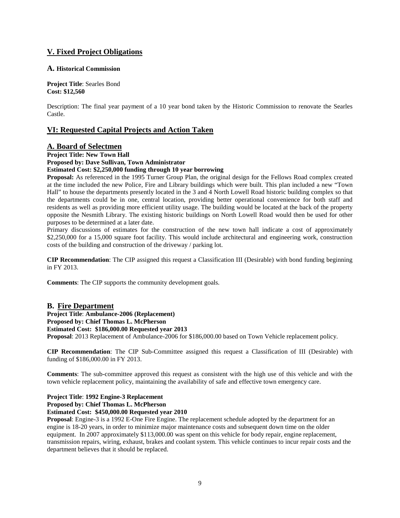#### **V. Fixed Project Obligations**

#### **A. Historical Commission**

**Project Title**: Searles Bond **Cost: \$12,560**

Description: The final year payment of a 10 year bond taken by the Historic Commission to renovate the Searles Castle.

#### **VI: Requested Capital Projects and Action Taken**

#### **A. Board of Selectmen**

**Project Title: New Town Hall**

### **Proposed by: Dave Sullivan, Town Administrator**

**Estimated Cost: \$2,250,000 funding through 10 year borrowing**

**Proposal:** As referenced in the 1995 Turner Group Plan, the original design for the Fellows Road complex created at the time included the new Police, Fire and Library buildings which were built. This plan included a new "Town Hall" to house the departments presently located in the 3 and 4 North Lowell Road historic building complex so that the departments could be in one, central location, providing better operational convenience for both staff and residents as well as providing more efficient utility usage. The building would be located at the back of the property opposite the Nesmith Library. The existing historic buildings on North Lowell Road would then be used for other purposes to be determined at a later date.

Primary discussions of estimates for the construction of the new town hall indicate a cost of approximately \$2,250,000 for a 15,000 square foot facility. This would include architectural and engineering work, construction costs of the building and construction of the driveway / parking lot.

**CIP Recommendation**: The CIP assigned this request a Classification III (Desirable) with bond funding beginning in FY 2013.

**Comments**: The CIP supports the community development goals.

#### **B. Fire Department**

**Project Title**: **Ambulance-2006 (Replacement)** 

**Proposed by: Chief Thomas L. McPherson**

#### **Estimated Cost: \$186,000.00 Requested year 2013**

**Proposal**: 2013 Replacement of Ambulance-2006 for \$186,000.00 based on Town Vehicle replacement policy.

**CIP Recommendation**: The CIP Sub-Committee assigned this request a Classification of III (Desirable) with funding of \$186,000.00 in FY 2013.

**Comments**: The sub-committee approved this request as consistent with the high use of this vehicle and with the town vehicle replacement policy, maintaining the availability of safe and effective town emergency care.

**Project Title**: **1992 Engine-3 Replacement**

#### **Proposed by: Chief Thomas L. McPherson**

**Estimated Cost: \$450,000.00 Requested year 2010**

**Proposal**: Engine-3 is a 1992 E-One Fire Engine. The replacement schedule adopted by the department for an engine is 18-20 years, in order to minimize major maintenance costs and subsequent down time on the older equipment. In 2007 approximately \$113,000.00 was spent on this vehicle for body repair, engine replacement, transmission repairs, wiring, exhaust, brakes and coolant system. This vehicle continues to incur repair costs and the department believes that it should be replaced.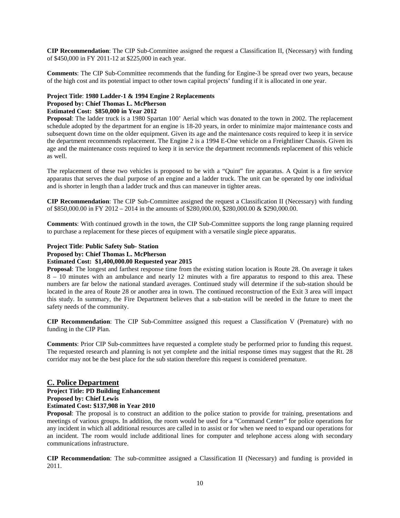**CIP Recommendation**: The CIP Sub-Committee assigned the request a Classification II, (Necessary) with funding of \$450,000 in FY 2011-12 at \$225,000 in each year.

**Comments**: The CIP Sub-Committee recommends that the funding for Engine-3 be spread over two years, because of the high cost and its potential impact to other town capital projects' funding if it is allocated in one year.

#### **Project Title**: **1980 Ladder-1 & 1994 Engine 2 Replacements**

#### **Proposed by: Chief Thomas L. McPherson**

#### **Estimated Cost: \$850,000 in Year 2012**

**Proposal**: The ladder truck is a 1980 Spartan 100' Aerial which was donated to the town in 2002. The replacement schedule adopted by the department for an engine is 18-20 years, in order to minimize major maintenance costs and subsequent down time on the older equipment. Given its age and the maintenance costs required to keep it in service the department recommends replacement. The Engine 2 is a 1994 E-One vehicle on a Freightliner Chassis. Given its age and the maintenance costs required to keep it in service the department recommends replacement of this vehicle as well.

The replacement of these two vehicles is proposed to be with a "Quint" fire apparatus. A Quint is a fire service apparatus that serves the dual purpose of an engine and a ladder truck. The unit can be operated by one individual and is shorter in length than a ladder truck and thus can maneuver in tighter areas.

**CIP Recommendation**: The CIP Sub-Committee assigned the request a Classification II (Necessary) with funding of \$850,000.00 in FY 2012 – 2014 in the amounts of \$280,000.00, \$280,000.00 & \$290,000.00.

**Comments**: With continued growth in the town, the CIP Sub-Committee supports the long range planning required to purchase a replacement for these pieces of equipment with a versatile single piece apparatus.

#### **Project Title**: **Public Safety Sub- Station**

#### **Proposed by: Chief Thomas L. McPherson**

#### **Estimated Cost: \$1,400,000.00 Requested year 2015**

**Proposal**: The longest and farthest response time from the existing station location is Route 28. On average it takes 8 – 10 minutes with an ambulance and nearly 12 minutes with a fire apparatus to respond to this area. These numbers are far below the national standard averages. Continued study will determine if the sub-station should be located in the area of Route 28 or another area in town. The continued reconstruction of the Exit 3 area will impact this study. In summary, the Fire Department believes that a sub-station will be needed in the future to meet the safety needs of the community.

**CIP Recommendation**: The CIP Sub-Committee assigned this request a Classification V (Premature) with no funding in the CIP Plan.

**Comments**: Prior CIP Sub-committees have requested a complete study be performed prior to funding this request. The requested research and planning is not yet complete and the initial response times may suggest that the Rt. 28 corridor may not be the best place for the sub station therefore this request is considered premature.

#### **C. Police Department**

#### **Project Title: PD Building Enhancement**

**Proposed by: Chief Lewis**

#### **Estimated Cost: \$137,908 in Year 2010**

**Proposal**: The proposal is to construct an addition to the police station to provide for training, presentations and meetings of various groups. In addition, the room would be used for a "Command Center" for police operations for any incident in which all additional resources are called in to assist or for when we need to expand our operations for an incident. The room would include additional lines for computer and telephone access along with secondary communications infrastructure.

**CIP Recommendation**: The sub-committee assigned a Classification II (Necessary) and funding is provided in 2011.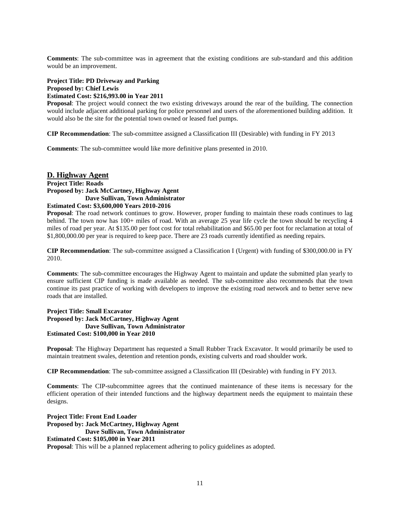**Comments**: The sub-committee was in agreement that the existing conditions are sub-standard and this addition would be an improvement.

#### **Project Title: PD Driveway and Parking Proposed by: Chief Lewis Estimated Cost: \$216,993.00 in Year 2011**

**Proposal**: The project would connect the two existing driveways around the rear of the building. The connection would include adjacent additional parking for police personnel and users of the aforementioned building addition. It would also be the site for the potential town owned or leased fuel pumps.

**CIP Recommendation**: The sub-committee assigned a Classification III (Desirable) with funding in FY 2013

**Comments**: The sub-committee would like more definitive plans presented in 2010.

### **D. Highway Agent**

**Project Title: Roads Proposed by: Jack McCartney, Highway Agent Dave Sullivan, Town Administrator Estimated Cost: \$3,600,000 Years 2010-2016**

**Proposal**: The road network continues to grow. However, proper funding to maintain these roads continues to lag behind. The town now has 100+ miles of road. With an average 25 year life cycle the town should be recycling 4 miles of road per year. At \$135.00 per foot cost for total rehabilitation and \$65.00 per foot for reclamation at total of \$1,800,000.00 per year is required to keep pace. There are 23 roads currently identified as needing repairs.

**CIP Recommendation**: The sub-committee assigned a Classification I (Urgent) with funding of \$300,000.00 in FY 2010.

**Comments**: The sub-committee encourages the Highway Agent to maintain and update the submitted plan yearly to ensure sufficient CIP funding is made available as needed. The sub-committee also recommends that the town continue its past practice of working with developers to improve the existing road network and to better serve new roads that are installed.

#### **Project Title: Small Excavator Proposed by: Jack McCartney, Highway Agent Dave Sullivan, Town Administrator Estimated Cost: \$100,000 in Year 2010**

**Proposal**: The Highway Department has requested a Small Rubber Track Excavator. It would primarily be used to maintain treatment swales, detention and retention ponds, existing culverts and road shoulder work.

**CIP Recommendation**: The sub-committee assigned a Classification III (Desirable) with funding in FY 2013.

**Comments**: The CIP-subcommittee agrees that the continued maintenance of these items is necessary for the efficient operation of their intended functions and the highway department needs the equipment to maintain these designs.

**Project Title: Front End Loader Proposed by: Jack McCartney, Highway Agent Dave Sullivan, Town Administrator Estimated Cost: \$105,000 in Year 2011 Proposal**: This will be a planned replacement adhering to policy guidelines as adopted.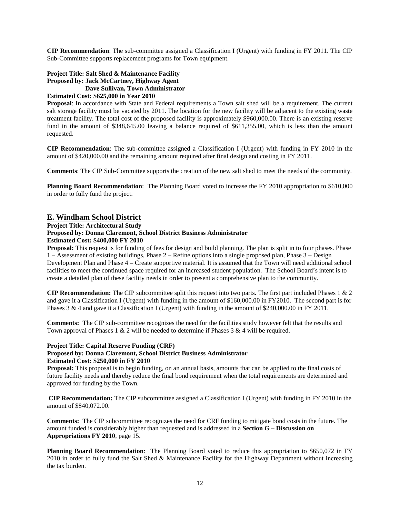**CIP Recommendation**: The sub-committee assigned a Classification I (Urgent) with funding in FY 2011. The CIP Sub-Committee supports replacement programs for Town equipment.

#### **Project Title: Salt Shed & Maintenance Facility Proposed by: Jack McCartney, Highway Agent Dave Sullivan, Town Administrator**

#### **Estimated Cost: \$625,000 in Year 2010**

**Proposal**: In accordance with State and Federal requirements a Town salt shed will be a requirement. The current salt storage facility must be vacated by 2011. The location for the new facility will be adjacent to the existing waste treatment facility. The total cost of the proposed facility is approximately \$960,000.00. There is an existing reserve fund in the amount of \$348,645.00 leaving a balance required of \$611,355.00, which is less than the amount requested.

**CIP Recommendation**: The sub-committee assigned a Classification I (Urgent) with funding in FY 2010 in the amount of \$420,000.00 and the remaining amount required after final design and costing in FY 2011.

**Comments**: The CIP Sub-Committee supports the creation of the new salt shed to meet the needs of the community.

**Planning Board Recommendation**: The Planning Board voted to increase the FY 2010 appropriation to \$610,000 in order to fully fund the project.

#### **E. Windham School District**

**Project Title: Architectural Study**

#### **Proposed by: Donna Claremont, School District Business Administrator**

#### **Estimated Cost: \$400,000 FY 2010**

**Proposal:** This request is for funding of fees for design and build planning. The plan is split in to four phases. Phase 1 – Assessment of existing buildings, Phase 2 – Refine options into a single proposed plan, Phase 3 – Design Development Plan and Phase 4 – Create supportive material. It is assumed that the Town will need additional school facilities to meet the continued space required for an increased student population. The School Board's intent is to create a detailed plan of these facility needs in order to present a comprehensive plan to the community.

**CIP Recommendation:** The CIP subcommittee split this request into two parts. The first part included Phases 1 & 2 and gave it a Classification I (Urgent) with funding in the amount of \$160,000.00 in FY2010. The second part is for Phases 3 & 4 and gave it a Classification I (Urgent) with funding in the amount of \$240,000.00 in FY 2011.

**Comments:** The CIP sub-committee recognizes the need for the facilities study however felt that the results and Town approval of Phases 1 & 2 will be needed to determine if Phases 3 & 4 will be required.

#### **Project Title: Capital Reserve Funding (CRF)**

#### **Proposed by: Donna Claremont, School District Business Administrator Estimated Cost: \$250,000 in FY 2010**

**Proposal:** This proposal is to begin funding, on an annual basis, amounts that can be applied to the final costs of future facility needs and thereby reduce the final bond requirement when the total requirements are determined and approved for funding by the Town.

**CIP Recommendation:** The CIP subcommittee assigned a Classification I (Urgent) with funding in FY 2010 in the amount of \$840,072.00.

**Comments:** The CIP subcommittee recognizes the need for CRF funding to mitigate bond costs in the future. The amount funded is considerably higher than requested and is addressed in a **Section G – Discussion on Appropriations FY 2010**, page 15.

**Planning Board Recommendation**: The Planning Board voted to reduce this appropriation to \$650,072 in FY 2010 in order to fully fund the Salt Shed & Maintenance Facility for the Highway Department without increasing the tax burden.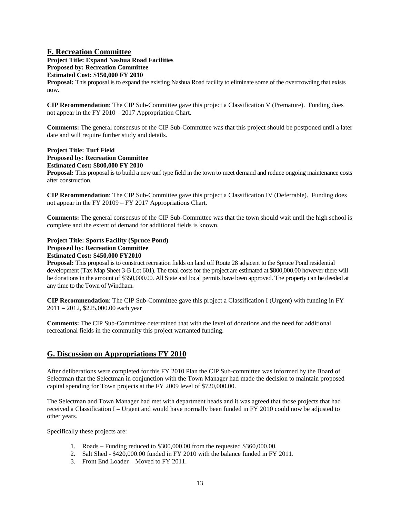#### **F. Recreation Committee**

**Project Title: Expand Nashua Road Facilities Proposed by: Recreation Committee**

**Estimated Cost: \$150,000 FY 2010**

**Proposal:** This proposal is to expand the existing Nashua Road facility to eliminate some of the overcrowding that exists now.

**CIP Recommendation**: The CIP Sub-Committee gave this project a Classification V (Premature). Funding does not appear in the FY 2010 – 2017 Appropriation Chart.

**Comments:** The general consensus of the CIP Sub-Committee was that this project should be postponed until a later date and will require further study and details.

#### **Project Title: Turf Field Proposed by: Recreation Committee Estimated Cost: \$800,000 FY 2010**

**Proposal:** This proposal is to build a new turf type field in the town to meet demand and reduce ongoing maintenance costs after construction.

**CIP Recommendation**: The CIP Sub-Committee gave this project a Classification IV (Deferrable). Funding does not appear in the FY 20109 – FY 2017 Appropriations Chart.

**Comments:** The general consensus of the CIP Sub-Committee was that the town should wait until the high school is complete and the extent of demand for additional fields is known.

#### **Project Title: Sports Facility (Spruce Pond) Proposed by: Recreation Committee Estimated Cost: \$450,000 FY2010**

**Proposal:** This proposal is to construct recreation fields on land off Route 28 adjacent to the Spruce Pond residential development (Tax Map Sheet 3-B Lot 601). The total costs for the project are estimated at \$800,000.00 however there will be donations in the amount of \$350,000.00. All State and local permits have been approved. The property can be deeded at any time to the Town of Windham.

**CIP Recommendation**: The CIP Sub-Committee gave this project a Classification I (Urgent) with funding in FY 2011 – 2012, \$225,000.00 each year

**Comments:** The CIP Sub-Committee determined that with the level of donations and the need for additional recreational fields in the community this project warranted funding.

### **G. Discussion on Appropriations FY 2010**

After deliberations were completed for this FY 2010 Plan the CIP Sub-committee was informed by the Board of Selectman that the Selectman in conjunction with the Town Manager had made the decision to maintain proposed capital spending for Town projects at the FY 2009 level of \$720,000.00.

The Selectman and Town Manager had met with department heads and it was agreed that those projects that had received a Classification I – Urgent and would have normally been funded in FY 2010 could now be adjusted to other years.

Specifically these projects are:

- 1. Roads Funding reduced to \$300,000.00 from the requested \$360,000.00.
- 2. Salt Shed \$420,000.00 funded in FY 2010 with the balance funded in FY 2011.
- 3. Front End Loader Moved to FY 2011.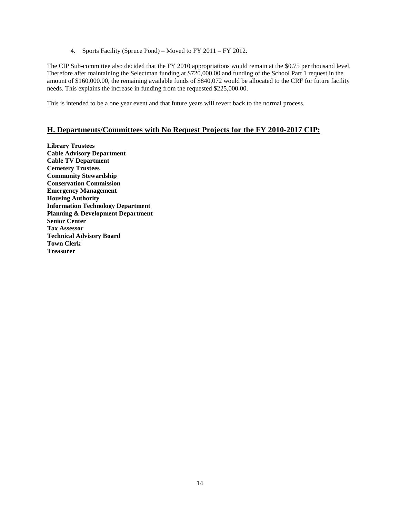4. Sports Facility (Spruce Pond) – Moved to FY 2011 – FY 2012.

The CIP Sub-committee also decided that the FY 2010 appropriations would remain at the \$0.75 per thousand level. Therefore after maintaining the Selectman funding at \$720,000.00 and funding of the School Part 1 request in the amount of \$160,000.00, the remaining available funds of \$840,072 would be allocated to the CRF for future facility needs. This explains the increase in funding from the requested \$225,000.00.

This is intended to be a one year event and that future years will revert back to the normal process.

#### **H. Departments/Committees with No Request Projects for the FY 2010-2017 CIP:**

**Library Trustees Cable Advisory Department Cable TV Department Cemetery Trustees Community Stewardship Conservation Commission Emergency Management Housing Authority Information Technology Department Planning & Development Department Senior Center Tax Assessor Technical Advisory Board Town Clerk Treasurer**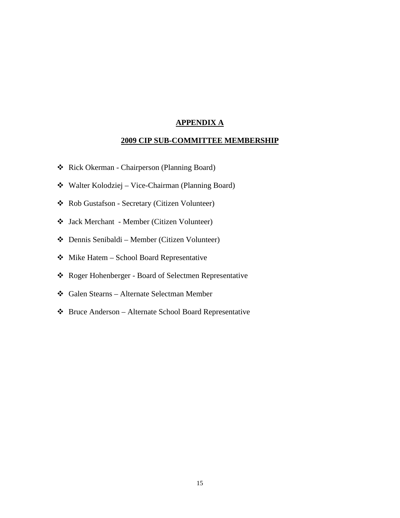#### **APPENDIX A**

#### **2009 CIP SUB-COMMITTEE MEMBERSHIP**

- \* Rick Okerman Chairperson (Planning Board)
- Walter Kolodziej Vice-Chairman (Planning Board)
- Rob Gustafson Secretary (Citizen Volunteer)
- Jack Merchant Member (Citizen Volunteer)
- Dennis Senibaldi Member (Citizen Volunteer)
- $\triangleleft$  Mike Hatem School Board Representative
- Roger Hohenberger Board of Selectmen Representative
- Galen Stearns Alternate Selectman Member
- Bruce Anderson Alternate School Board Representative